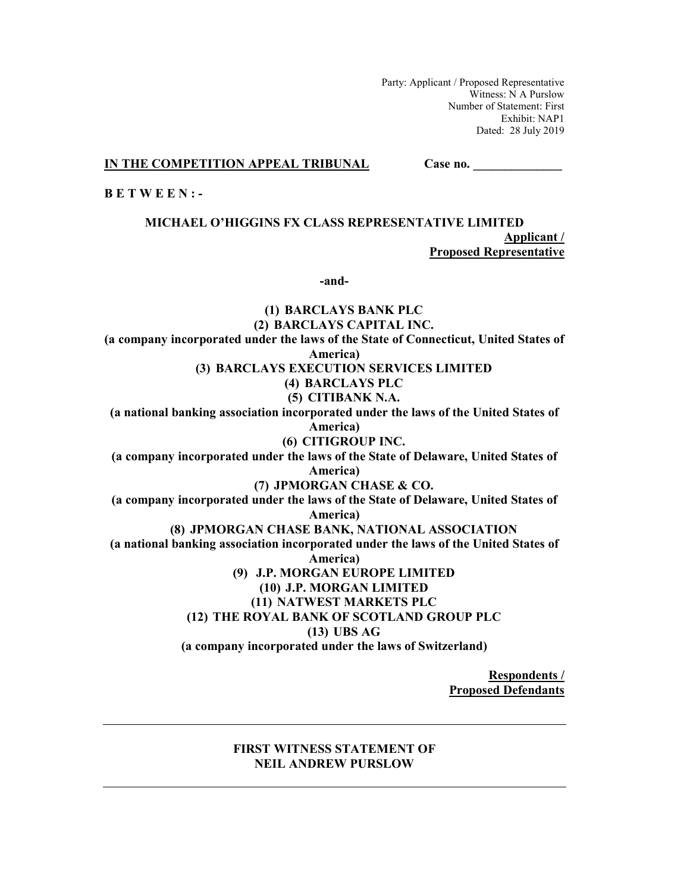Party: Applicant / Proposed Representative Witness: N A Purslow Number of Statement: First Exhibit: NAP1 Dated: 28 July 2019

**IN THE COMPETITION APPEAL TRIBUNAL Case no.** \_\_\_\_\_\_\_\_

**B E T W E E N : -** 

**MICHAEL O'HIGGINS FX CLASS REPRESENTATIVE LIMITED Applicant / Proposed Representative** 

**-and-** 

**(1) BARCLAYS BANK PLC (2) BARCLAYS CAPITAL INC. (a company incorporated under the laws of the State of Connecticut, United States of America) (3) BARCLAYS EXECUTION SERVICES LIMITED (4) BARCLAYS PLC (5) CITIBANK N.A. (a national banking association incorporated under the laws of the United States of America) (6) CITIGROUP INC. (a company incorporated under the laws of the State of Delaware, United States of America) (7) JPMORGAN CHASE & CO. (a company incorporated under the laws of the State of Delaware, United States of America) (8) JPMORGAN CHASE BANK, NATIONAL ASSOCIATION (a national banking association incorporated under the laws of the United States of America) (9) J.P. MORGAN EUROPE LIMITED (10) J.P. MORGAN LIMITED (11) NATWEST MARKETS PLC (12) THE ROYAL BANK OF SCOTLAND GROUP PLC (13) UBS AG (a company incorporated under the laws of Switzerland)** 

> **Respondents / Proposed Defendants**

## **FIRST WITNESS STATEMENT OF NEIL ANDREW PURSLOW**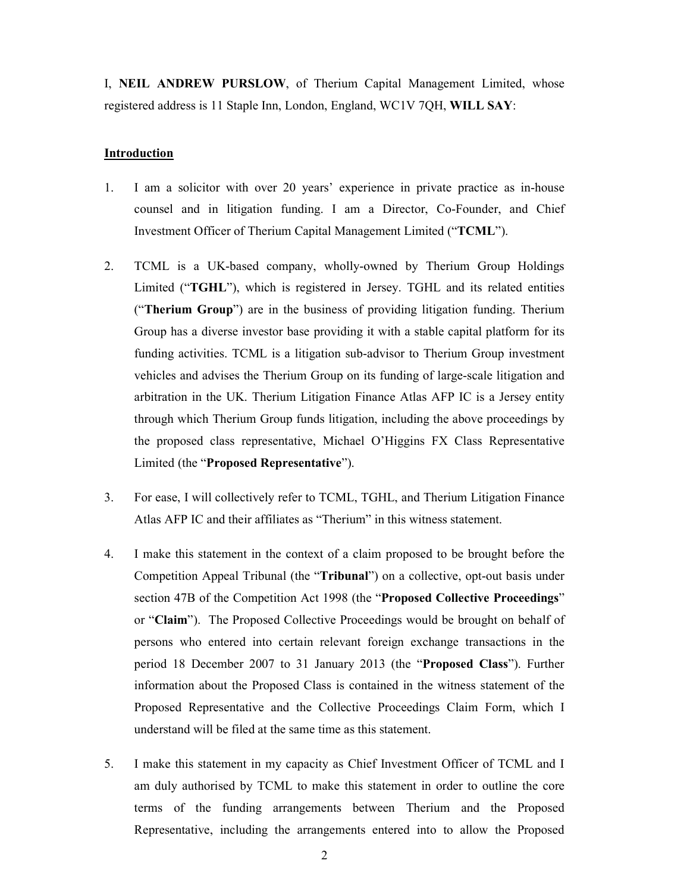I, **NEIL ANDREW PURSLOW**, of Therium Capital Management Limited, whose registered address is 11 Staple Inn, London, England, WC1V 7QH, **WILL SAY**:

### **Introduction**

- 1. I am a solicitor with over 20 years' experience in private practice as in-house counsel and in litigation funding. I am a Director, Co-Founder, and Chief Investment Officer of Therium Capital Management Limited ("**TCML**").
- 2. TCML is a UK-based company, wholly-owned by Therium Group Holdings Limited ("**TGHL**"), which is registered in Jersey. TGHL and its related entities ("**Therium Group**") are in the business of providing litigation funding. Therium Group has a diverse investor base providing it with a stable capital platform for its funding activities. TCML is a litigation sub-advisor to Therium Group investment vehicles and advises the Therium Group on its funding of large-scale litigation and arbitration in the UK. Therium Litigation Finance Atlas AFP IC is a Jersey entity through which Therium Group funds litigation, including the above proceedings by the proposed class representative, Michael O'Higgins FX Class Representative Limited (the "**Proposed Representative**").
- 3. For ease, I will collectively refer to TCML, TGHL, and Therium Litigation Finance Atlas AFP IC and their affiliates as "Therium" in this witness statement.
- 4. I make this statement in the context of a claim proposed to be brought before the Competition Appeal Tribunal (the "**Tribunal**") on a collective, opt-out basis under section 47B of the Competition Act 1998 (the "**Proposed Collective Proceedings**" or "**Claim**"). The Proposed Collective Proceedings would be brought on behalf of persons who entered into certain relevant foreign exchange transactions in the period 18 December 2007 to 31 January 2013 (the "**Proposed Class**"). Further information about the Proposed Class is contained in the witness statement of the Proposed Representative and the Collective Proceedings Claim Form, which I understand will be filed at the same time as this statement.
- 5. I make this statement in my capacity as Chief Investment Officer of TCML and I am duly authorised by TCML to make this statement in order to outline the core terms of the funding arrangements between Therium and the Proposed Representative, including the arrangements entered into to allow the Proposed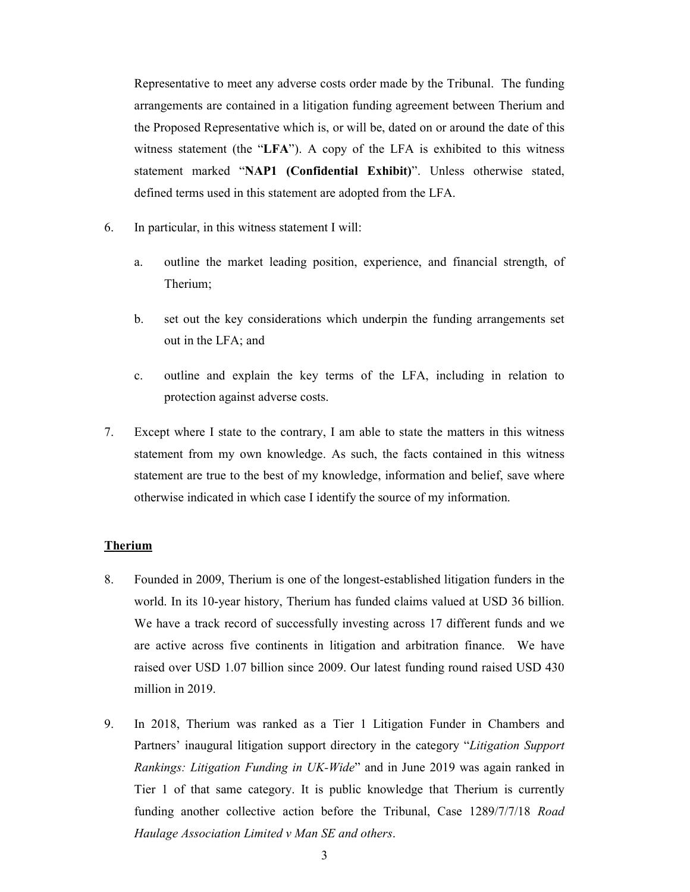Representative to meet any adverse costs order made by the Tribunal. The funding arrangements are contained in a litigation funding agreement between Therium and the Proposed Representative which is, or will be, dated on or around the date of this witness statement (the "**LFA**"). A copy of the LFA is exhibited to this witness statement marked "**NAP1 (Confidential Exhibit)**". Unless otherwise stated, defined terms used in this statement are adopted from the LFA.

- 6. In particular, in this witness statement I will:
	- a. outline the market leading position, experience, and financial strength, of Therium;
	- b. set out the key considerations which underpin the funding arrangements set out in the LFA; and
	- c. outline and explain the key terms of the LFA, including in relation to protection against adverse costs.
- 7. Except where I state to the contrary, I am able to state the matters in this witness statement from my own knowledge. As such, the facts contained in this witness statement are true to the best of my knowledge, information and belief, save where otherwise indicated in which case I identify the source of my information.

#### **Therium**

- 8. Founded in 2009, Therium is one of the longest-established litigation funders in the world. In its 10-year history, Therium has funded claims valued at USD 36 billion. We have a track record of successfully investing across 17 different funds and we are active across five continents in litigation and arbitration finance. We have raised over USD 1.07 billion since 2009. Our latest funding round raised USD 430 million in 2019.
- 9. In 2018, Therium was ranked as a Tier 1 Litigation Funder in Chambers and Partners' inaugural litigation support directory in the category "*Litigation Support Rankings: Litigation Funding in UK-Wide*" and in June 2019 was again ranked in Tier 1 of that same category. It is public knowledge that Therium is currently funding another collective action before the Tribunal, Case 1289/7/7/18 *Road Haulage Association Limited v Man SE and others*.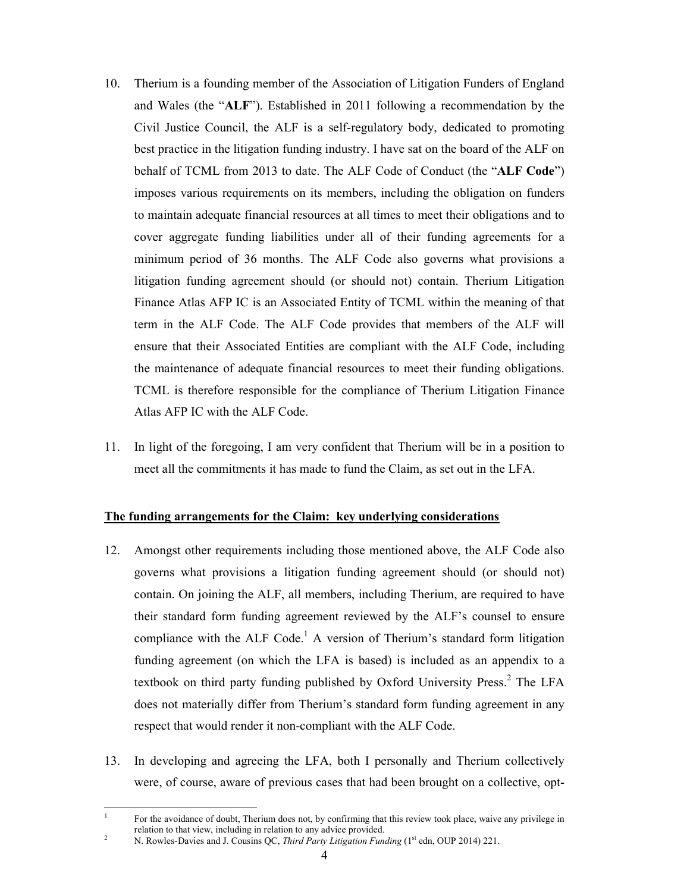- 10. Therium is a founding member of the Association of Litigation Funders of England and Wales (the "**ALF**"). Established in 2011 following a recommendation by the Civil Justice Council, the ALF is a self-regulatory body, dedicated to promoting best practice in the litigation funding industry. I have sat on the board of the ALF on behalf of TCML from 2013 to date. The ALF Code of Conduct (the "**ALF Code**") imposes various requirements on its members, including the obligation on funders to maintain adequate financial resources at all times to meet their obligations and to cover aggregate funding liabilities under all of their funding agreements for a minimum period of 36 months. The ALF Code also governs what provisions a litigation funding agreement should (or should not) contain. Therium Litigation Finance Atlas AFP IC is an Associated Entity of TCML within the meaning of that term in the ALF Code. The ALF Code provides that members of the ALF will ensure that their Associated Entities are compliant with the ALF Code, including the maintenance of adequate financial resources to meet their funding obligations. TCML is therefore responsible for the compliance of Therium Litigation Finance Atlas AFP IC with the ALF Code.
- 11. In light of the foregoing, I am very confident that Therium will be in a position to meet all the commitments it has made to fund the Claim, as set out in the LFA.

## **The funding arrangements for the Claim: key underlying considerations**

- 12. Amongst other requirements including those mentioned above, the ALF Code also governs what provisions a litigation funding agreement should (or should not) contain. On joining the ALF, all members, including Therium, are required to have their standard form funding agreement reviewed by the ALF's counsel to ensure compliance with the ALF Code.<sup>1</sup> A version of Therium's standard form litigation funding agreement (on which the LFA is based) is included as an appendix to a textbook on third party funding published by Oxford University Press.<sup>2</sup> The LFA does not materially differ from Therium's standard form funding agreement in any respect that would render it non-compliant with the ALF Code.
- 13. In developing and agreeing the LFA, both I personally and Therium collectively were, of course, aware of previous cases that had been brought on a collective, opt-

 $\frac{1}{1}$  For the avoidance of doubt, Therium does not, by confirming that this review took place, waive any privilege in relation to that view, including in relation to any advice provided.

N. Rowles-Davies and J. Cousins QC, *Third Party Litigation Funding* (1<sup>st</sup> edn, OUP 2014) 221.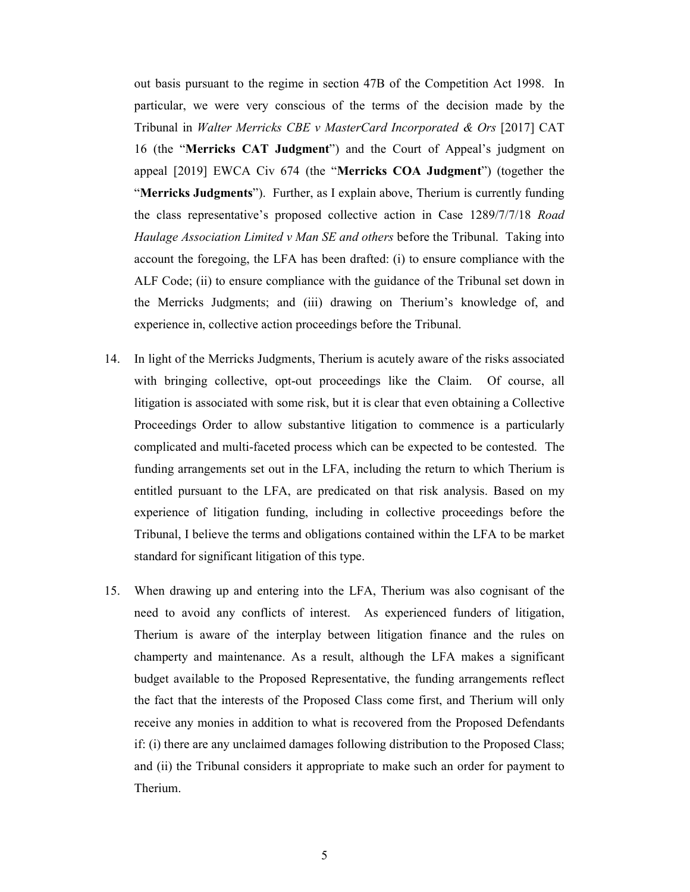out basis pursuant to the regime in section 47B of the Competition Act 1998. In particular, we were very conscious of the terms of the decision made by the Tribunal in *Walter Merricks CBE v MasterCard Incorporated & Ors* [2017] CAT 16 (the "**Merricks CAT Judgment**") and the Court of Appeal's judgment on appeal [2019] EWCA Civ 674 (the "**Merricks COA Judgment**") (together the "**Merricks Judgments**"). Further, as I explain above, Therium is currently funding the class representative's proposed collective action in Case 1289/7/7/18 *Road Haulage Association Limited v Man SE and others* before the Tribunal. Taking into account the foregoing, the LFA has been drafted: (i) to ensure compliance with the ALF Code; (ii) to ensure compliance with the guidance of the Tribunal set down in the Merricks Judgments; and (iii) drawing on Therium's knowledge of, and experience in, collective action proceedings before the Tribunal.

- 14. In light of the Merricks Judgments, Therium is acutely aware of the risks associated with bringing collective, opt-out proceedings like the Claim. Of course, all litigation is associated with some risk, but it is clear that even obtaining a Collective Proceedings Order to allow substantive litigation to commence is a particularly complicated and multi-faceted process which can be expected to be contested. The funding arrangements set out in the LFA, including the return to which Therium is entitled pursuant to the LFA, are predicated on that risk analysis. Based on my experience of litigation funding, including in collective proceedings before the Tribunal, I believe the terms and obligations contained within the LFA to be market standard for significant litigation of this type.
- 15. When drawing up and entering into the LFA, Therium was also cognisant of the need to avoid any conflicts of interest. As experienced funders of litigation, Therium is aware of the interplay between litigation finance and the rules on champerty and maintenance. As a result, although the LFA makes a significant budget available to the Proposed Representative, the funding arrangements reflect the fact that the interests of the Proposed Class come first, and Therium will only receive any monies in addition to what is recovered from the Proposed Defendants if: (i) there are any unclaimed damages following distribution to the Proposed Class; and (ii) the Tribunal considers it appropriate to make such an order for payment to Therium.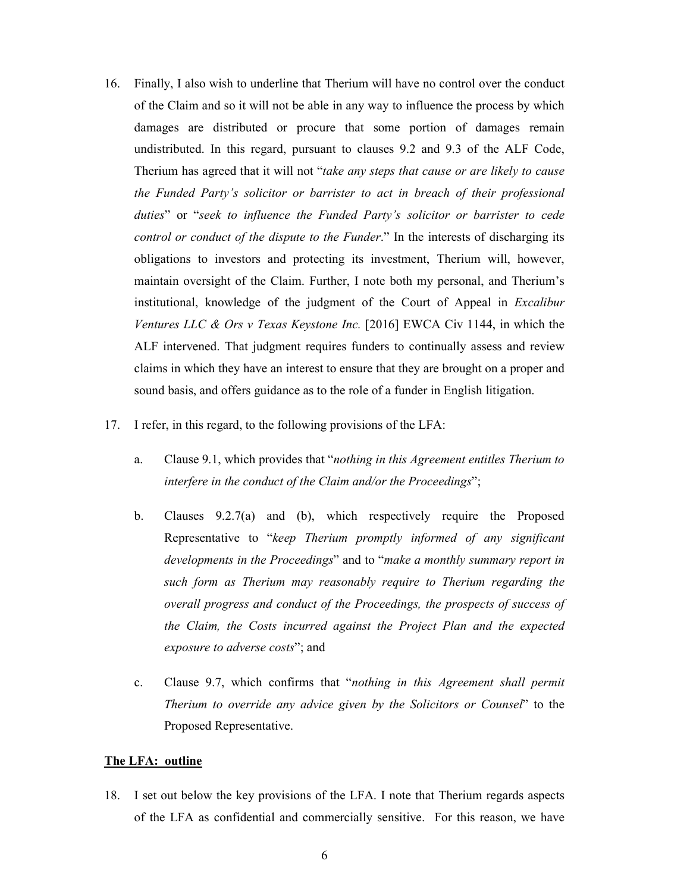- 16. Finally, I also wish to underline that Therium will have no control over the conduct of the Claim and so it will not be able in any way to influence the process by which damages are distributed or procure that some portion of damages remain undistributed. In this regard, pursuant to clauses 9.2 and 9.3 of the ALF Code, Therium has agreed that it will not "*take any steps that cause or are likely to cause the Funded Party's solicitor or barrister to act in breach of their professional duties*" or "*seek to influence the Funded Party's solicitor or barrister to cede control or conduct of the dispute to the Funder*." In the interests of discharging its obligations to investors and protecting its investment, Therium will, however, maintain oversight of the Claim. Further, I note both my personal, and Therium's institutional, knowledge of the judgment of the Court of Appeal in *Excalibur Ventures LLC & Ors v Texas Keystone Inc.* [2016] EWCA Civ 1144, in which the ALF intervened. That judgment requires funders to continually assess and review claims in which they have an interest to ensure that they are brought on a proper and sound basis, and offers guidance as to the role of a funder in English litigation.
- 17. I refer, in this regard, to the following provisions of the LFA:
	- a. Clause 9.1, which provides that "*nothing in this Agreement entitles Therium to interfere in the conduct of the Claim and/or the Proceedings*";
	- b. Clauses 9.2.7(a) and (b), which respectively require the Proposed Representative to "*keep Therium promptly informed of any significant developments in the Proceedings*" and to "*make a monthly summary report in such form as Therium may reasonably require to Therium regarding the overall progress and conduct of the Proceedings, the prospects of success of the Claim, the Costs incurred against the Project Plan and the expected exposure to adverse costs*"; and
	- c. Clause 9.7, which confirms that "*nothing in this Agreement shall permit Therium to override any advice given by the Solicitors or Counsel*" to the Proposed Representative.

### **The LFA: outline**

18. I set out below the key provisions of the LFA. I note that Therium regards aspects of the LFA as confidential and commercially sensitive. For this reason, we have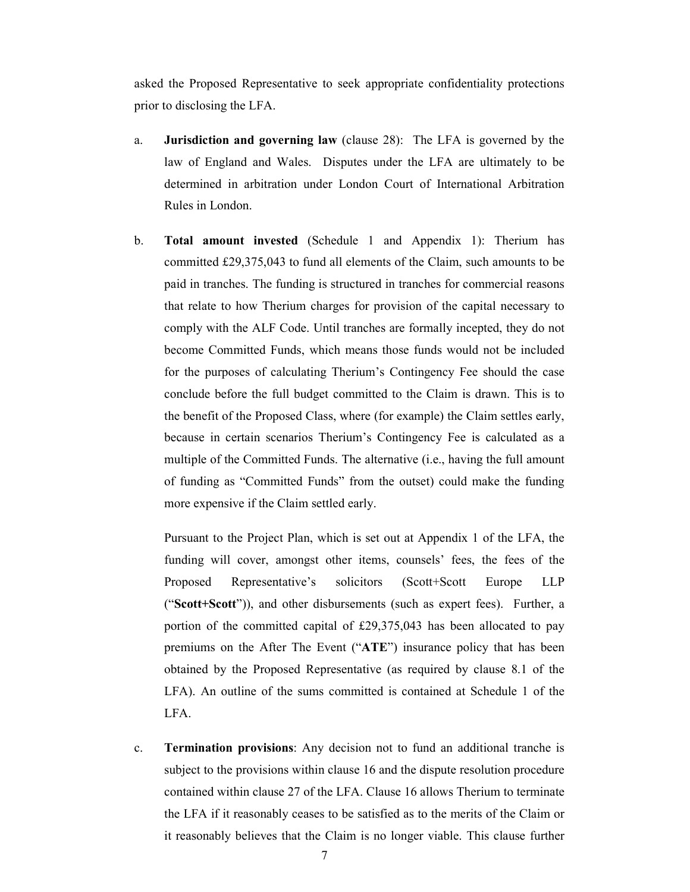asked the Proposed Representative to seek appropriate confidentiality protections prior to disclosing the LFA.

- a. **Jurisdiction and governing law** (clause 28): The LFA is governed by the law of England and Wales. Disputes under the LFA are ultimately to be determined in arbitration under London Court of International Arbitration Rules in London.
- b. **Total amount invested** (Schedule 1 and Appendix 1): Therium has committed £29,375,043 to fund all elements of the Claim, such amounts to be paid in tranches. The funding is structured in tranches for commercial reasons that relate to how Therium charges for provision of the capital necessary to comply with the ALF Code. Until tranches are formally incepted, they do not become Committed Funds, which means those funds would not be included for the purposes of calculating Therium's Contingency Fee should the case conclude before the full budget committed to the Claim is drawn. This is to the benefit of the Proposed Class, where (for example) the Claim settles early, because in certain scenarios Therium's Contingency Fee is calculated as a multiple of the Committed Funds. The alternative (i.e., having the full amount of funding as "Committed Funds" from the outset) could make the funding more expensive if the Claim settled early.

Pursuant to the Project Plan, which is set out at Appendix 1 of the LFA, the funding will cover, amongst other items, counsels' fees, the fees of the Proposed Representative's solicitors (Scott+Scott Europe LLP ("**Scott+Scott**")), and other disbursements (such as expert fees). Further, a portion of the committed capital of £29,375,043 has been allocated to pay premiums on the After The Event ("**ATE**") insurance policy that has been obtained by the Proposed Representative (as required by clause 8.1 of the LFA). An outline of the sums committed is contained at Schedule 1 of the LFA.

c. **Termination provisions**: Any decision not to fund an additional tranche is subject to the provisions within clause 16 and the dispute resolution procedure contained within clause 27 of the LFA. Clause 16 allows Therium to terminate the LFA if it reasonably ceases to be satisfied as to the merits of the Claim or it reasonably believes that the Claim is no longer viable. This clause further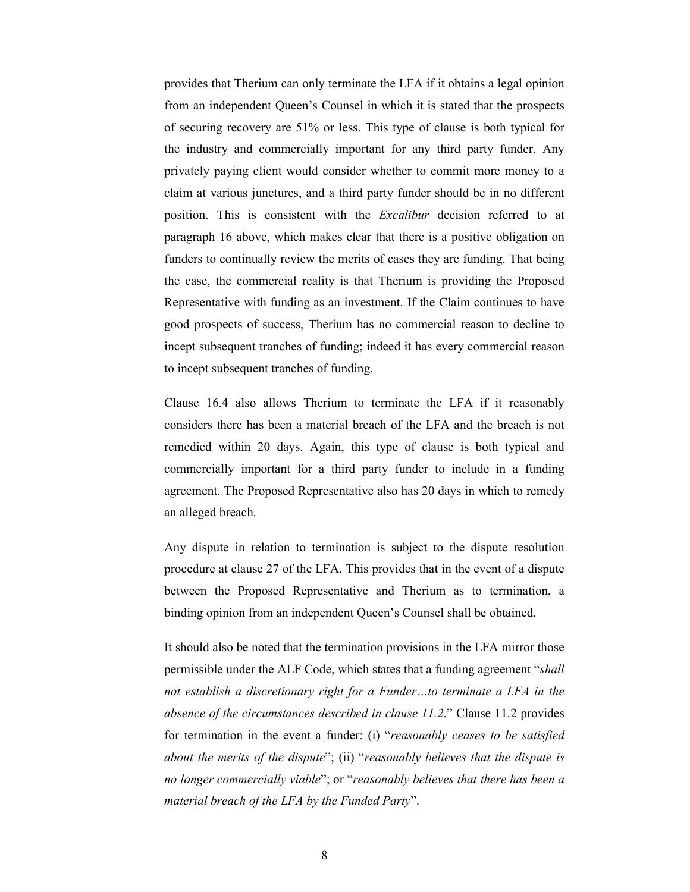provides that Therium can only terminate the LFA if it obtains a legal opinion from an independent Queen's Counsel in which it is stated that the prospects of securing recovery are 51% or less. This type of clause is both typical for the industry and commercially important for any third party funder. Any privately paying client would consider whether to commit more money to a claim at various junctures, and a third party funder should be in no different position. This is consistent with the *Excalibur* decision referred to at paragraph 16 above, which makes clear that there is a positive obligation on funders to continually review the merits of cases they are funding. That being the case, the commercial reality is that Therium is providing the Proposed Representative with funding as an investment. If the Claim continues to have good prospects of success, Therium has no commercial reason to decline to incept subsequent tranches of funding; indeed it has every commercial reason to incept subsequent tranches of funding.

Clause 16.4 also allows Therium to terminate the LFA if it reasonably considers there has been a material breach of the LFA and the breach is not remedied within 20 days. Again, this type of clause is both typical and commercially important for a third party funder to include in a funding agreement. The Proposed Representative also has 20 days in which to remedy an alleged breach.

Any dispute in relation to termination is subject to the dispute resolution procedure at clause 27 of the LFA. This provides that in the event of a dispute between the Proposed Representative and Therium as to termination, a binding opinion from an independent Queen's Counsel shall be obtained.

It should also be noted that the termination provisions in the LFA mirror those permissible under the ALF Code, which states that a funding agreement "*shall not establish a discretionary right for a Funder…to terminate a LFA in the absence of the circumstances described in clause 11.2*." Clause 11.2 provides for termination in the event a funder: (i) "*reasonably ceases to be satisfied about the merits of the dispute*"; (ii) "*reasonably believes that the dispute is no longer commercially viable*"; or "*reasonably believes that there has been a material breach of the LFA by the Funded Party*".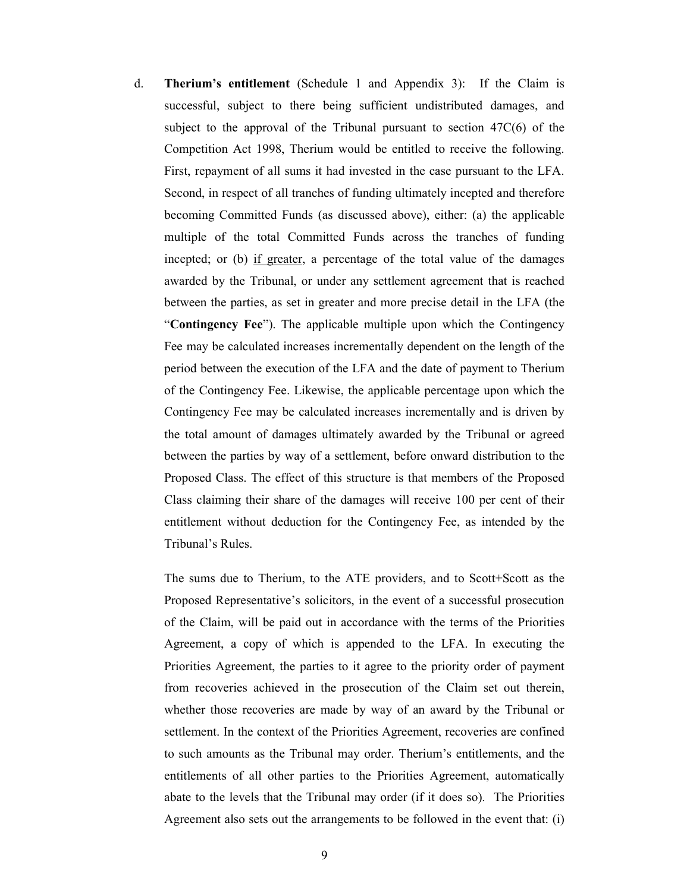d. **Therium's entitlement** (Schedule 1 and Appendix 3): If the Claim is successful, subject to there being sufficient undistributed damages, and subject to the approval of the Tribunal pursuant to section 47C(6) of the Competition Act 1998, Therium would be entitled to receive the following. First, repayment of all sums it had invested in the case pursuant to the LFA. Second, in respect of all tranches of funding ultimately incepted and therefore becoming Committed Funds (as discussed above), either: (a) the applicable multiple of the total Committed Funds across the tranches of funding incepted; or (b) if greater, a percentage of the total value of the damages awarded by the Tribunal, or under any settlement agreement that is reached between the parties, as set in greater and more precise detail in the LFA (the "**Contingency Fee**"). The applicable multiple upon which the Contingency Fee may be calculated increases incrementally dependent on the length of the period between the execution of the LFA and the date of payment to Therium of the Contingency Fee. Likewise, the applicable percentage upon which the Contingency Fee may be calculated increases incrementally and is driven by the total amount of damages ultimately awarded by the Tribunal or agreed between the parties by way of a settlement, before onward distribution to the Proposed Class. The effect of this structure is that members of the Proposed Class claiming their share of the damages will receive 100 per cent of their entitlement without deduction for the Contingency Fee, as intended by the Tribunal's Rules.

The sums due to Therium, to the ATE providers, and to Scott+Scott as the Proposed Representative's solicitors, in the event of a successful prosecution of the Claim, will be paid out in accordance with the terms of the Priorities Agreement, a copy of which is appended to the LFA. In executing the Priorities Agreement, the parties to it agree to the priority order of payment from recoveries achieved in the prosecution of the Claim set out therein, whether those recoveries are made by way of an award by the Tribunal or settlement. In the context of the Priorities Agreement, recoveries are confined to such amounts as the Tribunal may order. Therium's entitlements, and the entitlements of all other parties to the Priorities Agreement, automatically abate to the levels that the Tribunal may order (if it does so). The Priorities Agreement also sets out the arrangements to be followed in the event that: (i)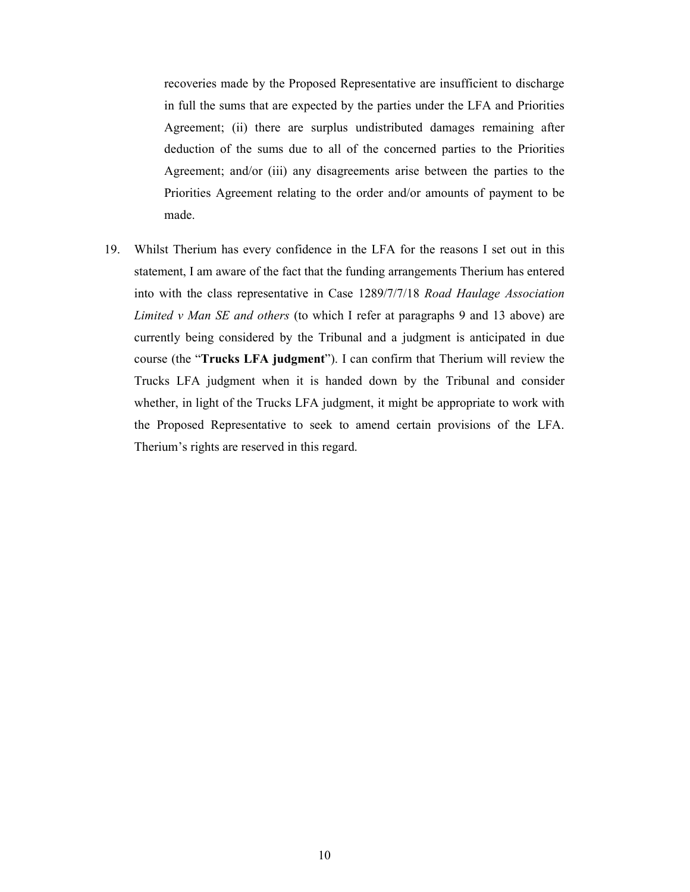recoveries made by the Proposed Representative are insufficient to discharge in full the sums that are expected by the parties under the LFA and Priorities Agreement; (ii) there are surplus undistributed damages remaining after deduction of the sums due to all of the concerned parties to the Priorities Agreement; and/or (iii) any disagreements arise between the parties to the Priorities Agreement relating to the order and/or amounts of payment to be made.

19. Whilst Therium has every confidence in the LFA for the reasons I set out in this statement, I am aware of the fact that the funding arrangements Therium has entered into with the class representative in Case 1289/7/7/18 *Road Haulage Association Limited v Man SE and others* (to which I refer at paragraphs 9 and 13 above) are currently being considered by the Tribunal and a judgment is anticipated in due course (the "**Trucks LFA judgment**"). I can confirm that Therium will review the Trucks LFA judgment when it is handed down by the Tribunal and consider whether, in light of the Trucks LFA judgment, it might be appropriate to work with the Proposed Representative to seek to amend certain provisions of the LFA. Therium's rights are reserved in this regard.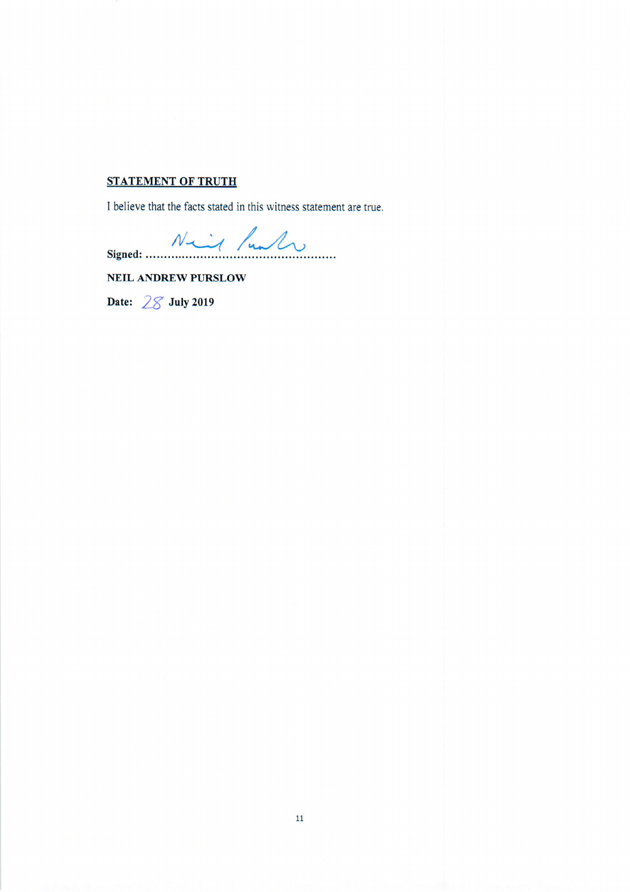# **STATEMENT OF TRUTH**

I believe that the facts stated in this witness statement are true.

Signed: Niel function

NEIL ANDREW PURSLOW

Date:  $28$  July 2019